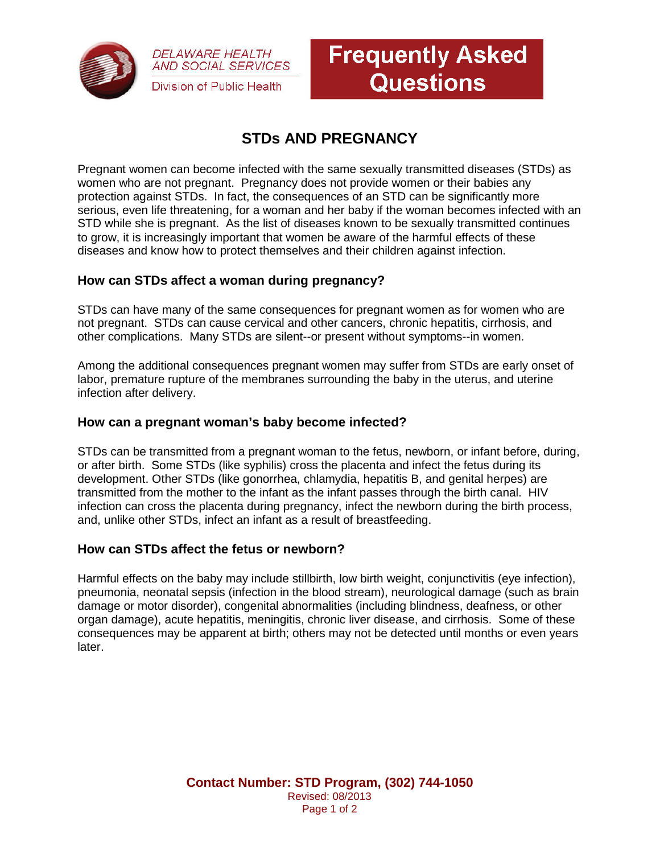

**DELAWARE HEALTH AND SOCIAL SERVICES** Division of Public Health

# **Frequently Asked Questions**

## **STDs AND PREGNANCY**

Pregnant women can become infected with the same sexually transmitted diseases (STDs) as women who are not pregnant. Pregnancy does not provide women or their babies any protection against STDs. In fact, the consequences of an STD can be significantly more serious, even life threatening, for a woman and her baby if the woman becomes infected with an STD while she is pregnant. As the list of diseases known to be sexually transmitted continues to grow, it is increasingly important that women be aware of the harmful effects of these diseases and know how to protect themselves and their children against infection.

### **How can STDs affect a woman during pregnancy?**

STDs can have many of the same consequences for pregnant women as for women who are not pregnant. STDs can cause cervical and other cancers, chronic hepatitis, cirrhosis, and other complications. Many STDs are silent--or present without symptoms--in women.

Among the additional consequences pregnant women may suffer from STDs are early onset of labor, premature rupture of the membranes surrounding the baby in the uterus, and uterine infection after delivery.

#### **How can a pregnant woman's baby become infected?**

STDs can be transmitted from a pregnant woman to the fetus, newborn, or infant before, during, or after birth. Some STDs (like syphilis) cross the placenta and infect the fetus during its development. Other STDs (like gonorrhea, chlamydia, hepatitis B, and genital herpes) are transmitted from the mother to the infant as the infant passes through the birth canal. HIV infection can cross the placenta during pregnancy, infect the newborn during the birth process, and, unlike other STDs, infect an infant as a result of breastfeeding.

#### **How can STDs affect the fetus or newborn?**

Harmful effects on the baby may include stillbirth, low birth weight, conjunctivitis (eye infection), pneumonia, neonatal sepsis (infection in the blood stream), neurological damage (such as brain damage or motor disorder), congenital abnormalities (including blindness, deafness, or other organ damage), acute hepatitis, meningitis, chronic liver disease, and cirrhosis. Some of these consequences may be apparent at birth; others may not be detected until months or even years later.